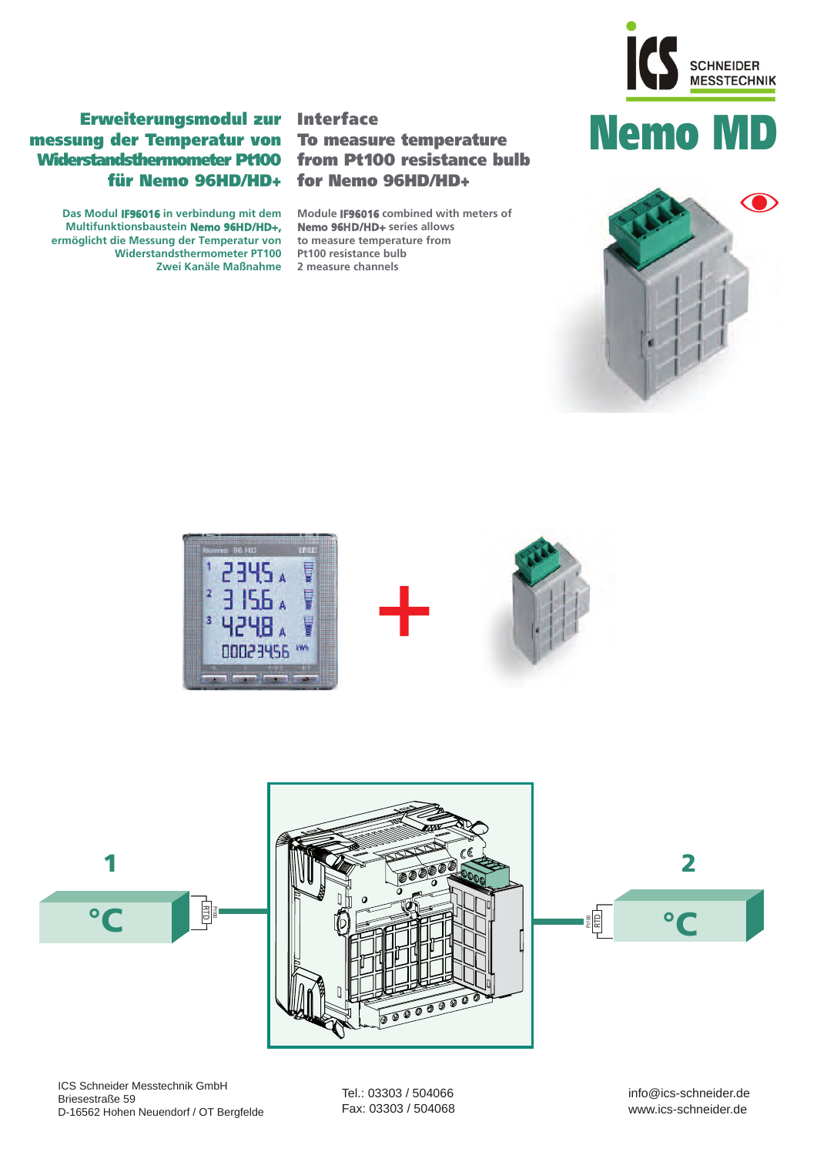

## Nemo MD



### Erweiterungsmodul zur Interface messung der Temperatur von To measure temperature Widerstandsthermometer Pt100 from Pt100 resistance bulb für Nemo 96HD/HD+

**Das Modul IF96016 in verbindung mit dem Multifunktionsbaustein Nemo 96HD/HD+, ermöglicht die Messung der Temperatur von Widerstandsthermometer PT100 Zwei Kanäle Maßnahme**

# for Nemo 96HD/HD+

**Module IF96016 combined with meters of Nemo 96HD/HD+ series allows to measure temperature from Pt100 resistance bulb 2 measure channels** 







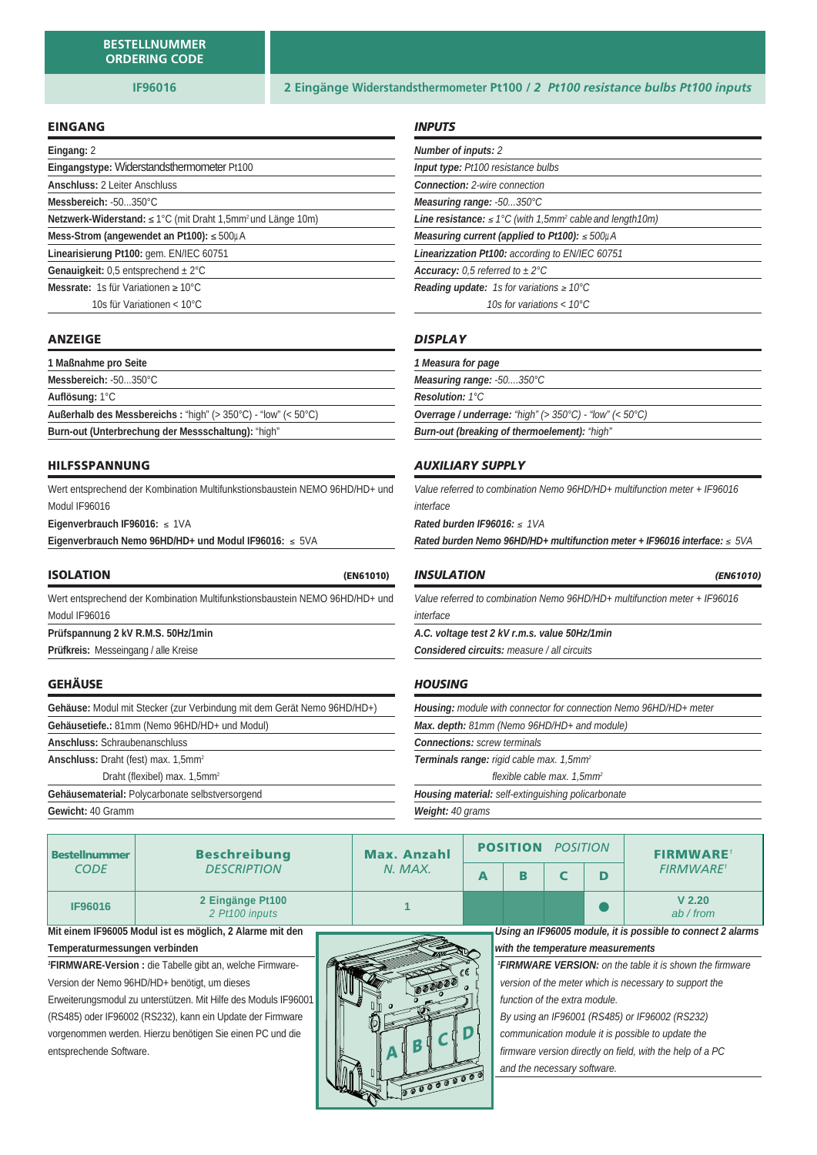#### EINGANG

| Eingang: 2                                                                                 |
|--------------------------------------------------------------------------------------------|
| Eingangstype: Widerstandsthermometer Pt100                                                 |
| <b>Anschluss: 2 Leiter Anschluss</b>                                                       |
| Messbereich: -50350°C                                                                      |
| <b>Netzwerk-Widerstand:</b> $\leq 1^{\circ}C$ (mit Draht 1,5mm <sup>2</sup> und Länge 10m) |
| Mess-Strom (angewendet an Pt100): $\leq 500 \mu A$                                         |
| Linearisierung Pt100: gem. EN/IEC 60751                                                    |
| <b>Genauigkeit:</b> 0.5 entsprechend $\pm 2^{\circ}$ C                                     |
| <b>Messrate:</b> 1s für Variationen $\geq 10^{\circ}$ C                                    |
| 10s für Variationen < 10°C                                                                 |

#### ANZEIGE

| 1 Maßnahme pro Seite                                                                     |  |
|------------------------------------------------------------------------------------------|--|
| Messbereich: -50350°C                                                                    |  |
| Auflösung: 1°C                                                                           |  |
| <b>Außerhalb des Messbereichs:</b> "high" (> $350^{\circ}$ C) - "low" (< $50^{\circ}$ C) |  |
| Burn-out (Unterbrechung der Messschaltung): "high"                                       |  |

#### HILFSSPANNUNG

Wert entsprechend der Kombination Multifunkstionsbaustein NEMO 96HD/HD+ und Modul IF96016

**Eigenverbrauch IF96016:** ≤ 1VA

**Eigenverbrauch Nemo 96HD/HD+ und Modul IF96016:**  5VA

#### ISOLATION (EN61010)

Wert entsprechend der Kombination Multifunkstionsbaustein NEMO 96HD/HD+ und Modul IF96016

**Prüfspannung 2 kV R.M.S. 50Hz/1min**

**Prüfkreis:** Messeingang / alle Kreise

#### **GEHÄUSE**

**Gehäuse:** Modul mit Stecker (zur Verbindung mit dem Gerät Nemo 96HD/HD+)

**Gehäusetiefe.:** 81mm (Nemo 96HD/HD+ und Modul)

**Anschluss:** Schraubenanschluss

**Anschluss:** Draht (fest) max. 1,5mm2

Draht (flexibel) max. 1,5mm<sup>2</sup>

**Gehäusematerial:** Polycarbonate selbstversorgend **Gewicht:** 40 Gramm

#### *INPUTS*

| <b>Number of inputs: 2</b>                                                        |
|-----------------------------------------------------------------------------------|
| <b>Input type:</b> Pt100 resistance bulbs                                         |
| <b>Connection:</b> 2-wire connection                                              |
| Measuring range: -50350°C                                                         |
| <b>Line resistance:</b> $\leq$ 1°C (with 1,5mm <sup>2</sup> cable and length 10m) |
| Measuring current (applied to Pt100): $\leq 500 \mu A$                            |
| Linearizzation Pt100: according to EN/IEC 60751                                   |
| <b>Accuracy:</b> 0.5 referred to $\pm 2^{\circ}$ C                                |
| <b>Reading update:</b> 1s for variations $\geq 10^{\circ}$ C                      |
| 10s for variations $< 10^{\circ}$ C                                               |

#### *DISPLAY*

| Measuring range: -50350°C                                                        |
|----------------------------------------------------------------------------------|
|                                                                                  |
| <b>Resolution: 1°C</b>                                                           |
| <b>Overrage / underrage:</b> "high" $(> 350^{\circ}C)$ - "low" $(< 50^{\circ}C)$ |
| <b>Burn-out (breaking of thermoelement): "high"</b>                              |

#### *AUXILIARY SUPPLY*

Value referred to combination Nemo 96HD/HD+ multifunction meter + IF96016 interface

**Rated burden IF96016:** ≤ 1VA

**Rated burden Nemo 96HD/HD+ multifunction meter + IF96016 interface:**  $\leq 5\sqrt{A}$ 

#### *INSULATION (EN61010)*

Value referred to combination Nemo 96HD/HD+ multifunction meter + IF96016 interface

**A.C. voltage test 2 kV r.m.s. value 50Hz/1min**

**Considered circuits:** measure / all circuits

#### *HOUSING*

| <b>Housing:</b> module with connector for connection Nemo 96HD/HD+ meter |  |  |  |  |  |
|--------------------------------------------------------------------------|--|--|--|--|--|
| Max. depth: 81mm (Nemo 96HD/HD+ and module)                              |  |  |  |  |  |
| <b>Connections:</b> screw terminals                                      |  |  |  |  |  |
| <b>Terminals range:</b> rigid cable max. 1,5mm <sup>2</sup>              |  |  |  |  |  |
| flexible cable max. $1,5mm^2$                                            |  |  |  |  |  |
| <b>Housing material:</b> self-extinguishing policarbonate                |  |  |  |  |  |
| <b>Weight: 40 grams</b>                                                  |  |  |  |  |  |

| <b>Bestellnummer</b>                                            | <b>Beschreibung</b>                | <b>Max. Anzahl</b> |   | <b>POSITION</b>                                                                                                          |  |   |                                                             | <b>POSITION</b> | <b>FIRMWARE</b> |
|-----------------------------------------------------------------|------------------------------------|--------------------|---|--------------------------------------------------------------------------------------------------------------------------|--|---|-------------------------------------------------------------|-----------------|-----------------|
| <b>CODE</b>                                                     | <b>DESCRIPTION</b>                 | N. MAX.            | A | R                                                                                                                        |  | ח | <b>FIRMWARE<sup>1</sup></b>                                 |                 |                 |
| IF96016                                                         | 2 Eingänge Pt100<br>2 Pt100 inputs |                    |   |                                                                                                                          |  |   | V <sub>2.20</sub><br>ab / from                              |                 |                 |
| Mit einem IF96005 Modul ist es möglich, 2 Alarme mit den        |                                    |                    |   |                                                                                                                          |  |   | Using an IF96005 module, it is possible to connect 2 alarms |                 |                 |
| Temperaturmessungen verbinden                                   |                                    |                    |   | with the temperature measurements                                                                                        |  |   |                                                             |                 |                 |
| 'FIRMWARE-Version : die Tabelle gibt an, welche Firmware-       |                                    |                    |   | <b>FIRMWARE VERSION:</b> on the table it is shown the firmware<br>version of the meter which is necessary to support the |  |   |                                                             |                 |                 |
| Version der Nemo 96HD/HD+ benötigt, um dieses                   |                                    |                    |   |                                                                                                                          |  |   |                                                             |                 |                 |
| Erweiterungsmodul zu unterstützen. Mit Hilfe des Moduls IF96001 |                                    |                    |   | function of the extra module.                                                                                            |  |   |                                                             |                 |                 |
| (RS485) oder IF96002 (RS232), kann ein Update der Firmware      |                                    |                    |   | By using an IF96001 (RS485) or IF96002 (RS232)                                                                           |  |   |                                                             |                 |                 |
| vorgenommen werden. Hierzu benötigen Sie einen PC und die       |                                    | BICID              |   | communication module it is possible to update the                                                                        |  |   |                                                             |                 |                 |
| entsprechende Software.                                         |                                    |                    |   | firmware version directly on field, with the help of a PC                                                                |  |   |                                                             |                 |                 |
|                                                                 |                                    |                    |   | and the necessary software.                                                                                              |  |   |                                                             |                 |                 |